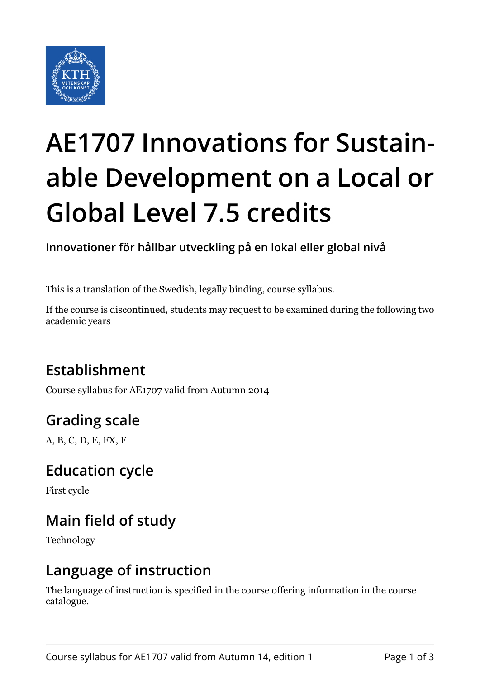

# **AE1707 Innovations for Sustainable Development on a Local or Global Level 7.5 credits**

**Innovationer för hållbar utveckling på en lokal eller global nivå**

This is a translation of the Swedish, legally binding, course syllabus.

If the course is discontinued, students may request to be examined during the following two academic years

## **Establishment**

Course syllabus for AE1707 valid from Autumn 2014

## **Grading scale**

A, B, C, D, E, FX, F

### **Education cycle**

First cycle

## **Main field of study**

Technology

#### **Language of instruction**

The language of instruction is specified in the course offering information in the course catalogue.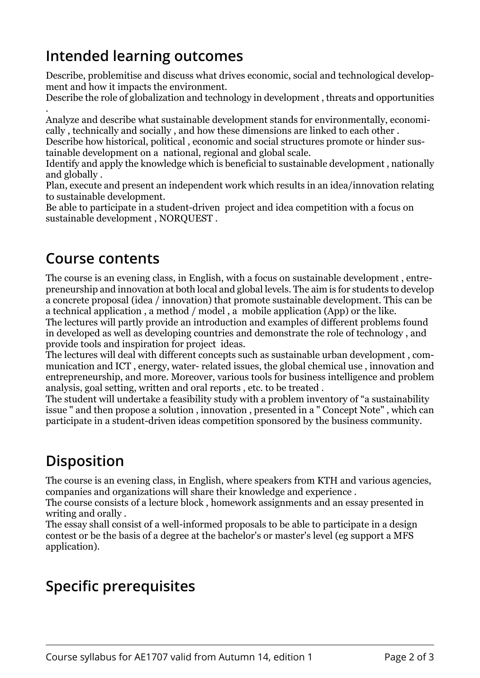## **Intended learning outcomes**

Describe, problemitise and discuss what drives economic, social and technological development and how it impacts the environment.

Describe the role of globalization and technology in development , threats and opportunities

. Analyze and describe what sustainable development stands for environmentally, economically , technically and socially , and how these dimensions are linked to each other .

Describe how historical, political , economic and social structures promote or hinder sustainable development on a national, regional and global scale.

Identify and apply the knowledge which is beneficial to sustainable development , nationally and globally .

Plan, execute and present an independent work which results in an idea/innovation relating to sustainable development.

Be able to participate in a student-driven project and idea competition with a focus on sustainable development , NORQUEST .

#### **Course contents**

The course is an evening class, in English, with a focus on sustainable development , entrepreneurship and innovation at both local and global levels. The aim is for students to develop a concrete proposal (idea / innovation) that promote sustainable development. This can be a technical application , a method / model , a mobile application (App) or the like.

The lectures will partly provide an introduction and examples of different problems found in developed as well as developing countries and demonstrate the role of technology , and provide tools and inspiration for project ideas.

The lectures will deal with different concepts such as sustainable urban development , communication and ICT , energy, water- related issues, the global chemical use , innovation and entrepreneurship, and more. Moreover, various tools for business intelligence and problem analysis, goal setting, written and oral reports , etc. to be treated .

The student will undertake a feasibility study with a problem inventory of "a sustainability issue " and then propose a solution , innovation , presented in a " Concept Note" , which can participate in a student-driven ideas competition sponsored by the business community.

## **Disposition**

The course is an evening class, in English, where speakers from KTH and various agencies, companies and organizations will share their knowledge and experience .

The course consists of a lecture block , homework assignments and an essay presented in writing and orally .

The essay shall consist of a well-informed proposals to be able to participate in a design contest or be the basis of a degree at the bachelor's or master's level (eg support a MFS application).

## **Specific prerequisites**